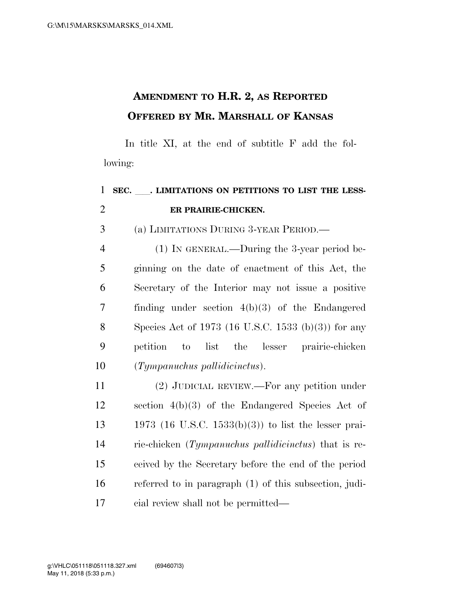## **AMENDMENT TO H.R. 2, AS REPORTED OFFERED BY MR. MARSHALL OF KANSAS**

In title XI, at the end of subtitle F add the following:

| $\mathbf{1}$   | SEC. . LIMITATIONS ON PETITIONS TO LIST THE LESS-        |
|----------------|----------------------------------------------------------|
| $\mathbf{2}$   | ER PRAIRIE-CHICKEN.                                      |
| 3              | (a) LIMITATIONS DURING 3-YEAR PERIOD.—                   |
| $\overline{4}$ | $(1)$ In GENERAL.—During the 3-year period be-           |
| 5              | ginning on the date of enactment of this Act, the        |
| 6              | Secretary of the Interior may not issue a positive       |
| 7              | finding under section $4(b)(3)$ of the Endangered        |
| 8              | Species Act of 1973 (16 U.S.C. 1533 (b)(3)) for any      |
| 9              | list the lesser<br>prairie-chicken<br>petition<br>to     |
| 10             | $(Tympanuchus \ pallidicinctus).$                        |
| 11             | $(2)$ JUDICIAL REVIEW.—For any petition under            |
| 12             | section $4(b)(3)$ of the Endangered Species Act of       |
| 13             | 1973 (16 U.S.C. 1533(b)(3)) to list the lesser prai-     |
| 14             | rie-chicken (Tympanuchus pallidicinctus) that is re-     |
| 15             | ceived by the Secretary before the end of the period     |
| 16             | referred to in paragraph $(1)$ of this subsection, judi- |
| 17             | cial review shall not be permitted—                      |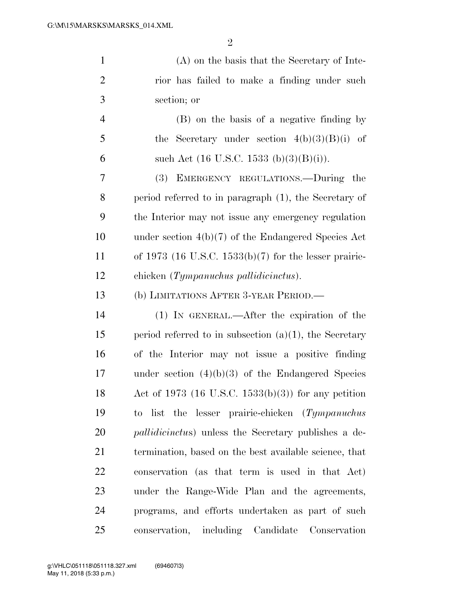| $\mathbf{1}$   | (A) on the basis that the Secretary of Inte-                 |
|----------------|--------------------------------------------------------------|
| $\overline{2}$ | rior has failed to make a finding under such                 |
| 3              | section; or                                                  |
| $\overline{4}$ | (B) on the basis of a negative finding by                    |
| 5              | the Secretary under section $4(b)(3)(B)(i)$ of               |
| 6              | such Act $(16 \text{ U.S.C. } 1533 \text{ (b)}(3)(B)(i)).$   |
| 7              | (3)<br>EMERGENCY REGULATIONS.--During the                    |
| 8              | period referred to in paragraph (1), the Secretary of        |
| 9              | the Interior may not issue any emergency regulation          |
| 10             | under section $4(b)(7)$ of the Endangered Species Act        |
| 11             | of 1973 (16 U.S.C. 1533(b)(7) for the lesser prairie-        |
| 12             | chicken (Tympanuchus pallidicinctus).                        |
| 13             | (b) LIMITATIONS AFTER 3-YEAR PERIOD.—                        |
| 14             | (1) IN GENERAL.—After the expiration of the                  |
| 15             | period referred to in subsection $(a)(1)$ , the Secretary    |
| 16             | of the Interior may not issue a positive finding             |
| 17             | under section $(4)(b)(3)$ of the Endangered Species          |
| 18             | Act of 1973 (16 U.S.C. 1533(b)(3)) for any petition          |
| 19             | to list the lesser prairie-chicken (Tympanuchus              |
| 20             | <i>pallidicinctus</i> ) unless the Secretary publishes a de- |
| 21             | termination, based on the best available science, that       |
| 22             | conservation (as that term is used in that Act)              |
| 23             | under the Range-Wide Plan and the agreements,                |
| 24             | programs, and efforts undertaken as part of such             |

conservation, including Candidate Conservation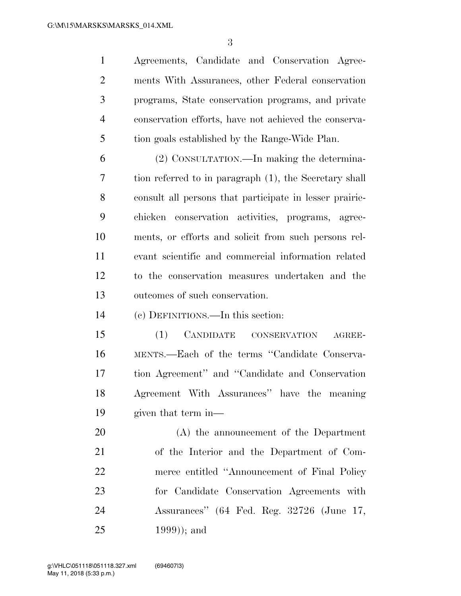Agreements, Candidate and Conservation Agree- ments With Assurances, other Federal conservation programs, State conservation programs, and private conservation efforts, have not achieved the conserva-tion goals established by the Range-Wide Plan.

 (2) CONSULTATION.—In making the determina- tion referred to in paragraph (1), the Secretary shall consult all persons that participate in lesser prairie- chicken conservation activities, programs, agree- ments, or efforts and solicit from such persons rel- evant scientific and commercial information related to the conservation measures undertaken and the outcomes of such conservation.

(c) DEFINITIONS.—In this section:

 (1) CANDIDATE CONSERVATION AGREE- MENTS.—Each of the terms ''Candidate Conserva- tion Agreement'' and ''Candidate and Conservation Agreement With Assurances'' have the meaning given that term in—

 (A) the announcement of the Department of the Interior and the Department of Com- merce entitled ''Announcement of Final Policy for Candidate Conservation Agreements with Assurances'' (64 Fed. Reg. 32726 (June 17, 1999)); and